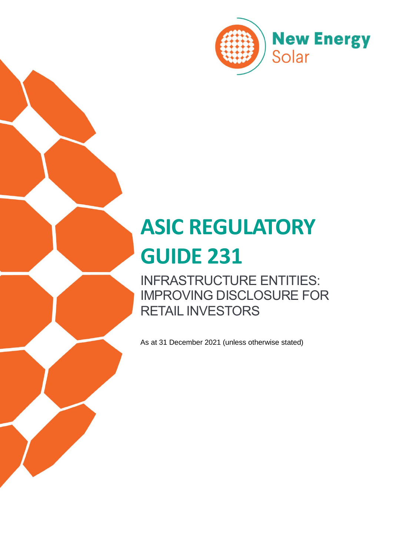

# **ASIC REGULATORY GUIDE 231**

INFRASTRUCTURE ENTITIES: IMPROVING DISCLOSURE FOR RETAIL INVESTORS

As at 31 December 2021 (unless otherwise stated)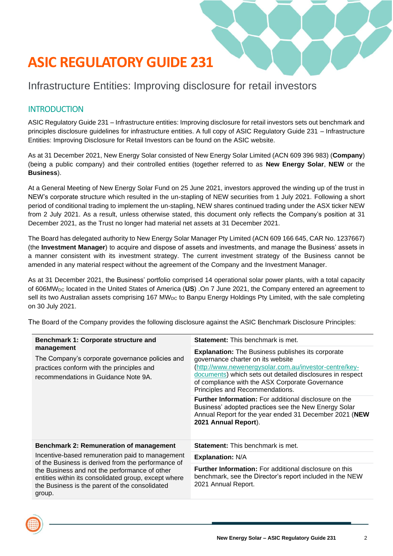## **ASIC REGULATORY GUIDE 231**

### Infrastructure Entities: Improving disclosure for retail investors

#### **INTRODUCTION**

ASIC Regulatory Guide 231 – Infrastructure entities: Improving disclosure for retail investors sets out benchmark and principles disclosure guidelines for infrastructure entities. A full copy of ASIC Regulatory Guide 231 – Infrastructure Entities: Improving Disclosure for Retail Investors can be found on the ASIC website.

As at 31 December 2021, New Energy Solar consisted of New Energy Solar Limited (ACN 609 396 983) (**Company**) (being a public company) and their controlled entities (together referred to as **New Energy Solar**, **NEW** or the **Business**).

At a General Meeting of New Energy Solar Fund on 25 June 2021, investors approved the winding up of the trust in NEW's corporate structure which resulted in the un-stapling of NEW securities from 1 July 2021. Following a short period of conditional trading to implement the un-stapling, NEW shares continued trading under the ASX ticker NEW from 2 July 2021. As a result, unless otherwise stated, this document only reflects the Company's position at 31 December 2021, as the Trust no longer had material net assets at 31 December 2021.

The Board has delegated authority to New Energy Solar Manager Pty Limited (ACN 609 166 645, CAR No. 1237667) (the **Investment Manager**) to acquire and dispose of assets and investments, and manage the Business' assets in a manner consistent with its investment strategy. The current investment strategy of the Business cannot be amended in any material respect without the agreement of the Company and the Investment Manager.

As at 31 December 2021, the Business' portfolio comprised 14 operational solar power plants, with a total capacity of 606MWDC located in the United States of America (**US**) .On 7 June 2021, the Company entered an agreement to sell its two Australian assets comprising 167 MW<sub>DC</sub> to Banpu Energy Holdings Pty Limited, with the sale completing on 30 July 2021.

| <b>Statement:</b> This benchmark is met.                                                                                                                                                                                                                                                                  |
|-----------------------------------------------------------------------------------------------------------------------------------------------------------------------------------------------------------------------------------------------------------------------------------------------------------|
| <b>Explanation:</b> The Business publishes its corporate<br>governance charter on its website<br>http://www.newenergysolar.com.au/investor-centre/key-<br>documents) which sets out detailed disclosures in respect<br>of compliance with the ASX Corporate Governance<br>Principles and Recommendations. |
| <b>Further Information:</b> For additional disclosure on the<br>Business' adopted practices see the New Energy Solar<br>Annual Report for the year ended 31 December 2021 (NEW<br>2021 Annual Report).                                                                                                    |
| <b>Statement:</b> This benchmark is met.                                                                                                                                                                                                                                                                  |
| <b>Explanation: N/A</b>                                                                                                                                                                                                                                                                                   |
| <b>Further Information:</b> For additional disclosure on this<br>benchmark, see the Director's report included in the NEW<br>2021 Annual Report.                                                                                                                                                          |
|                                                                                                                                                                                                                                                                                                           |

The Board of the Company provides the following disclosure against the ASIC Benchmark Disclosure Principles:

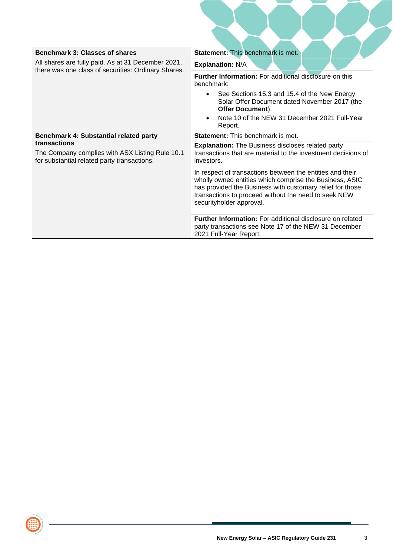| <b>Benchmark 3: Classes of shares</b>                                                                          | <b>Statement: This benchmark is met.</b>                                                                                                                                                                                                                              |
|----------------------------------------------------------------------------------------------------------------|-----------------------------------------------------------------------------------------------------------------------------------------------------------------------------------------------------------------------------------------------------------------------|
| All shares are fully paid. As at 31 December 2021,<br>there was one class of securities: Ordinary Shares.      | <b>Explanation: N/A</b>                                                                                                                                                                                                                                               |
|                                                                                                                | <b>Further Information:</b> For additional disclosure on this<br>benchmark:                                                                                                                                                                                           |
|                                                                                                                | See Sections 15.3 and 15.4 of the New Energy<br>$\bullet$<br>Solar Offer Document dated November 2017 (the<br>Offer Document).<br>Note 10 of the NEW 31 December 2021 Full-Year<br>Report.                                                                            |
| Benchmark 4: Substantial related party                                                                         | <b>Statement:</b> This benchmark is met.                                                                                                                                                                                                                              |
| transactions<br>The Company complies with ASX Listing Rule 10.1<br>for substantial related party transactions. | <b>Explanation:</b> The Business discloses related party<br>transactions that are material to the investment decisions of<br>investors.                                                                                                                               |
|                                                                                                                | In respect of transactions between the entities and their<br>wholly owned entities which comprise the Business, ASIC<br>has provided the Business with customary relief for those<br>transactions to proceed without the need to seek NEW<br>securityholder approval. |
|                                                                                                                | <b>Further Information:</b> For additional disclosure on related<br>party transactions see Note 17 of the NEW 31 December<br>2021 Full-Year Report.                                                                                                                   |

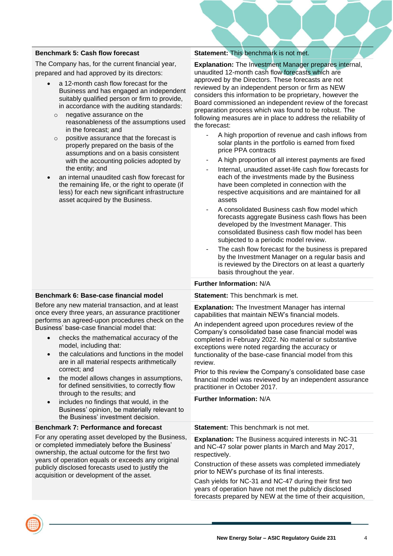#### **Benchmark 5: Cash flow forecast**

The Company has, for the current financial year, prepared and had approved by its directors:

- a 12-month cash flow forecast for the Business and has engaged an independent suitably qualified person or firm to provide, in accordance with the auditing standards:
	- negative assurance on the reasonableness of the assumptions used in the forecast; and
	- o positive assurance that the forecast is properly prepared on the basis of the assumptions and on a basis consistent with the accounting policies adopted by the entity; and
- an internal unaudited cash flow forecast for the remaining life, or the right to operate (if less) for each new significant infrastructure asset acquired by the Business.

#### **Statement:** This benchmark is not met.

**Explanation:** The Investment Manager prepares internal. unaudited 12-month cash flow forecasts which are approved by the Directors. These forecasts are not reviewed by an independent person or firm as NEW considers this information to be proprietary, however the Board commissioned an independent review of the forecast preparation process which was found to be robust. The following measures are in place to address the reliability of the forecast:

- A high proportion of revenue and cash inflows from solar plants in the portfolio is earned from fixed price PPA contracts
- A high proportion of all interest payments are fixed
- Internal, unaudited asset-life cash flow forecasts for each of the investments made by the Business have been completed in connection with the respective acquisitions and are maintained for all assets
- A consolidated Business cash flow model which forecasts aggregate Business cash flows has been developed by the Investment Manager. This consolidated Business cash flow model has been subjected to a periodic model review.
- The cash flow forecast for the business is prepared by the Investment Manager on a regular basis and is reviewed by the Directors on at least a quarterly basis throughout the year.

#### **Further Information:** N/A

#### **Statement:** This benchmark is met.

**Explanation:** The Investment Manager has internal capabilities that maintain NEW's financial models.

An independent agreed upon procedures review of the Company's consolidated base case financial model was completed in February 2022. No material or substantive exceptions were noted regarding the accuracy or functionality of the base-case financial model from this review.

Prior to this review the Company's consolidated base case financial model was reviewed by an independent assurance practitioner in October 2017.

**Further Information:** N/A

**Statement:** This benchmark is not met.

**Explanation:** The Business acquired interests in NC-31 and NC-47 solar power plants in March and May 2017, respectively.

Construction of these assets was completed immediately prior to NEW's purchase of its final interests.

Cash yields for NC-31 and NC-47 during their first two years of operation have not met the publicly disclosed forecasts prepared by NEW at the time of their acquisition,

#### **Benchmark 6: Base-case financial model**

Before any new material transaction, and at least once every three years, an assurance practitioner performs an agreed-upon procedures check on the Business' base-case financial model that:

- checks the mathematical accuracy of the model, including that:
- the calculations and functions in the model are in all material respects arithmetically correct; and
- the model allows changes in assumptions, for defined sensitivities, to correctly flow through to the results; and
- includes no findings that would, in the Business' opinion, be materially relevant to the Business' investment decision.

#### **Benchmark 7: Performance and forecast**

For any operating asset developed by the Business, or completed immediately before the Business' ownership, the actual outcome for the first two years of operation equals or exceeds any original publicly disclosed forecasts used to justify the acquisition or development of the asset.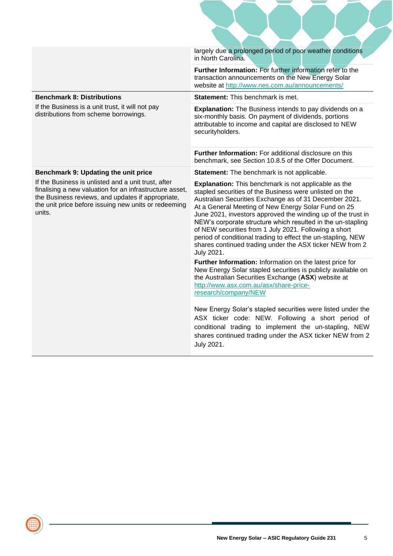|                                                                                                                                                                                                                                       | largely due a prolonged period of poor weather conditions<br>in North Carolina.                                                                                                                                                                                                                                                                                                                                                                                                                                                                                           |
|---------------------------------------------------------------------------------------------------------------------------------------------------------------------------------------------------------------------------------------|---------------------------------------------------------------------------------------------------------------------------------------------------------------------------------------------------------------------------------------------------------------------------------------------------------------------------------------------------------------------------------------------------------------------------------------------------------------------------------------------------------------------------------------------------------------------------|
|                                                                                                                                                                                                                                       | Further Information: For further information refer to the<br>transaction announcements on the New Energy Solar<br>website at http://www.nes.com.au/announcements/                                                                                                                                                                                                                                                                                                                                                                                                         |
| <b>Benchmark 8: Distributions</b>                                                                                                                                                                                                     | Statement: This benchmark is met.                                                                                                                                                                                                                                                                                                                                                                                                                                                                                                                                         |
| If the Business is a unit trust, it will not pay<br>distributions from scheme borrowings.                                                                                                                                             | <b>Explanation:</b> The Business intends to pay dividends on a<br>six-monthly basis. On payment of dividends, portions<br>attributable to income and capital are disclosed to NEW<br>securityholders.                                                                                                                                                                                                                                                                                                                                                                     |
|                                                                                                                                                                                                                                       | Further Information: For additional disclosure on this<br>benchmark, see Section 10.8.5 of the Offer Document.                                                                                                                                                                                                                                                                                                                                                                                                                                                            |
| Benchmark 9: Updating the unit price                                                                                                                                                                                                  | Statement: The benchmark is not applicable.                                                                                                                                                                                                                                                                                                                                                                                                                                                                                                                               |
| If the Business is unlisted and a unit trust, after<br>finalising a new valuation for an infrastructure asset,<br>the Business reviews, and updates if appropriate,<br>the unit price before issuing new units or redeeming<br>units. | <b>Explanation:</b> This benchmark is not applicable as the<br>stapled securities of the Business were unlisted on the<br>Australian Securities Exchange as of 31 December 2021.<br>At a General Meeting of New Energy Solar Fund on 25<br>June 2021, investors approved the winding up of the trust in<br>NEW's corporate structure which resulted in the un-stapling<br>of NEW securities from 1 July 2021. Following a short<br>period of conditional trading to effect the un-stapling, NEW<br>shares continued trading under the ASX ticker NEW from 2<br>July 2021. |
|                                                                                                                                                                                                                                       | Further Information: Information on the latest price for<br>New Energy Solar stapled securities is publicly available on<br>the Australian Securities Exchange (ASX) website at<br>http://www.asx.com.au/asx/share-price-<br>research/company/NEW                                                                                                                                                                                                                                                                                                                         |
|                                                                                                                                                                                                                                       | New Energy Solar's stapled securities were listed under the<br>ASX ticker code: NEW. Following a short period of<br>conditional trading to implement the un-stapling, NEW<br>shares continued trading under the ASX ticker NEW from 2<br>July 2021.                                                                                                                                                                                                                                                                                                                       |

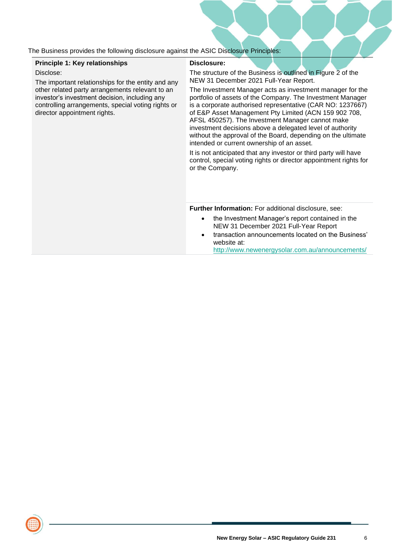The Business provides the following disclosure against the ASIC Disclosure Principles:

#### **Principle 1: Key relationships**

Disclose:

The important relationships for the entity and any other related party arrangements relevant to an investor's investment decision, including any controlling arrangements, special voting rights or director appointment rights.

#### **Disclosure:**

The structure of the Business is outlined in Figure 2 of the NEW 31 December 2021 Full-Year Report.

The Investment Manager acts as investment manager for the portfolio of assets of the Company. The Investment Manager is a corporate authorised representative (CAR NO: 1237667) of E&P Asset Management Pty Limited (ACN 159 902 708, AFSL 450257). The Investment Manager cannot make investment decisions above a delegated level of authority without the approval of the Board, depending on the ultimate intended or current ownership of an asset.

It is not anticipated that any investor or third party will have control, special voting rights or director appointment rights for or the Company.

**Further Information:** For additional disclosure, see:

- the Investment Manager's report contained in the NEW 31 December 2021 Full-Year Report
- transaction announcements located on the Business' website at:

<http://www.newenergysolar.com.au/announcements/>

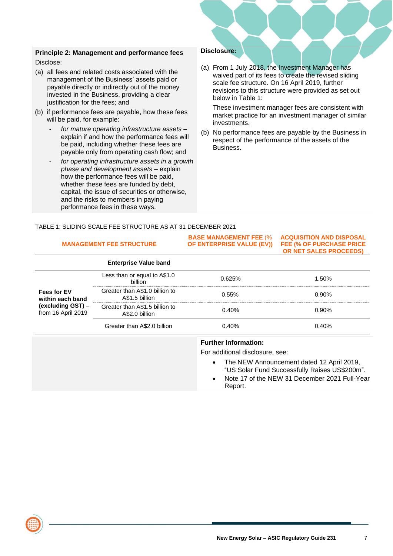#### **Principle 2: Management and performance fees**

Disclose:

- (a) all fees and related costs associated with the management of the Business' assets paid or payable directly or indirectly out of the money invested in the Business, providing a clear justification for the fees; and
- (b) if performance fees are payable, how these fees will be paid, for example:
	- *- for mature operating infrastructure assets* explain if and how the performance fees will be paid, including whether these fees are payable only from operating cash flow; and
	- *- for operating infrastructure assets in a growth phase and development assets* – explain how the performance fees will be paid, whether these fees are funded by debt, capital, the issue of securities or otherwise, and the risks to members in paying performance fees in these ways.

#### **Disclosure:**

(a) From 1 July 2018, the Investment Manager has waived part of its fees to create the revised sliding scale fee structure. On 16 April 2019, further revisions to this structure were provided as set out below in Table 1:

These investment manager fees are consistent with market practice for an investment manager of similar investments.

(b) No performance fees are payable by the Business in respect of the performance of the assets of the Business.

TABLE 1: SLIDING SCALE FEE STRUCTURE AS AT 31 DECEMBER 2021

| <b>MANAGEMENT FEE STRUCTURE</b>         |                                                  | <b>BASE MANAGEMENT FEE (%</b><br>OF ENTERPRISE VALUE (EV)) | <b>ACQUISITION AND DISPOSAL</b><br><b>FEE (% OF PURCHASE PRICE</b><br>OR NET SALES PROCEEDS)                                                |
|-----------------------------------------|--------------------------------------------------|------------------------------------------------------------|---------------------------------------------------------------------------------------------------------------------------------------------|
|                                         | <b>Enterprise Value band</b>                     |                                                            |                                                                                                                                             |
|                                         | Less than or equal to A\$1.0<br>billion          | 0.625%                                                     | 1.50%                                                                                                                                       |
| <b>Fees for EV</b><br>within each band  | Greater than A\$1.0 billion to<br>A\$1.5 billion | 0.55%                                                      | 0.90%                                                                                                                                       |
| (excluding GST) -<br>from 16 April 2019 | Greater than A\$1.5 billion to<br>A\$2.0 billion | 0.40%                                                      | 0.90%                                                                                                                                       |
|                                         | Greater than A\$2.0 billion                      | 0.40%                                                      | 0.40%                                                                                                                                       |
|                                         |                                                  | <b>Further Information:</b>                                |                                                                                                                                             |
|                                         |                                                  | For additional disclosure, see:                            |                                                                                                                                             |
|                                         |                                                  | $\bullet$<br>$\bullet$                                     | The NEW Announcement dated 12 April 2019,<br>"US Solar Fund Successfully Raises US\$200m".<br>Note 17 of the NEW 31 December 2021 Full-Year |
|                                         |                                                  | Report.                                                    |                                                                                                                                             |

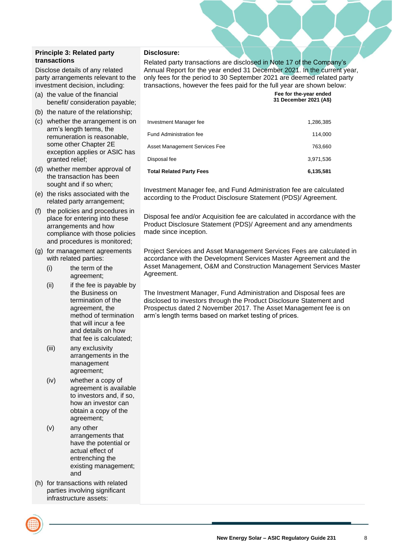#### **Principle 3: Related party transactions**

Disclose details of any related party arrangements relevant to the investment decision, including:

- (a) the value of the financial benefit/ consideration payable;
- (b) the nature of the relationship;
- (c) whether the arrangement is on arm's length terms, the remuneration is reasonable, some other Chapter 2E exception applies or ASIC has granted relief;
- (d) whether member approval of the transaction has been sought and if so when;
- (e) the risks associated with the related party arrangement;
- (f) the policies and procedures in place for entering into these arrangements and how compliance with those policies and procedures is monitored;
- (g) for management agreements with related parties:
	- (i) the term of the agreement;
	- (ii) if the fee is payable by the Business on termination of the agreement, the method of termination that will incur a fee and details on how that fee is calculated;
	- (iii) any exclusivity arrangements in the management agreement;
	- (iv) whether a copy of agreement is available to investors and, if so, how an investor can obtain a copy of the agreement;
	- (v) any other arrangements that have the potential or actual effect of entrenching the existing management; and
- (h) for transactions with related parties involving significant infrastructure assets:



#### **Disclosure:**

Related party transactions are disclosed in Note 17 of the Company's Annual Report for the year ended 31 December 2021. In the current year, only fees for the period to 30 September 2021 are deemed related party transactions, however the fees paid for the full year are shown below:

> **Fee for the-year ended 31 December 2021 (A\$)**

| <b>Total Related Party Fees</b> | 6,135,581 |
|---------------------------------|-----------|
| Disposal fee                    | 3.971.536 |
| Asset Management Services Fee   | 763.660   |
| <b>Fund Administration fee</b>  | 114.000   |
| Investment Manager fee          | 1,286,385 |
|                                 |           |

Investment Manager fee, and Fund Administration fee are calculated according to the Product Disclosure Statement (PDS)/ Agreement.

Disposal fee and/or Acquisition fee are calculated in accordance with the Product Disclosure Statement (PDS)/ Agreement and any amendments made since inception.

Project Services and Asset Management Services Fees are calculated in accordance with the Development Services Master Agreement and the Asset Management, O&M and Construction Management Services Master Agreement.

The Investment Manager, Fund Administration and Disposal fees are disclosed to investors through the Product Disclosure Statement and Prospectus dated 2 November 2017. The Asset Management fee is on arm's length terms based on market testing of prices.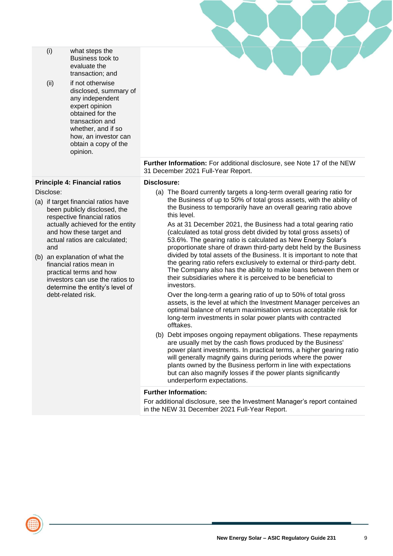| (i)                                                                                                                                                                                                                                                                                                                                                                                                          | what steps the<br>Business took to<br>evaluate the<br>transaction; and                                                                                                                                  |                                                                                                                                                                                                                                                                                                                                                                                                                                                                                                                                                                                                                                                                                                                                                                                                                                                                                  |
|--------------------------------------------------------------------------------------------------------------------------------------------------------------------------------------------------------------------------------------------------------------------------------------------------------------------------------------------------------------------------------------------------------------|---------------------------------------------------------------------------------------------------------------------------------------------------------------------------------------------------------|----------------------------------------------------------------------------------------------------------------------------------------------------------------------------------------------------------------------------------------------------------------------------------------------------------------------------------------------------------------------------------------------------------------------------------------------------------------------------------------------------------------------------------------------------------------------------------------------------------------------------------------------------------------------------------------------------------------------------------------------------------------------------------------------------------------------------------------------------------------------------------|
| (ii)                                                                                                                                                                                                                                                                                                                                                                                                         | if not otherwise<br>disclosed, summary of<br>any independent<br>expert opinion<br>obtained for the<br>transaction and<br>whether, and if so<br>how, an investor can<br>obtain a copy of the<br>opinion. |                                                                                                                                                                                                                                                                                                                                                                                                                                                                                                                                                                                                                                                                                                                                                                                                                                                                                  |
|                                                                                                                                                                                                                                                                                                                                                                                                              |                                                                                                                                                                                                         | Further Information: For additional disclosure, see Note 17 of the NEW<br>31 December 2021 Full-Year Report.                                                                                                                                                                                                                                                                                                                                                                                                                                                                                                                                                                                                                                                                                                                                                                     |
|                                                                                                                                                                                                                                                                                                                                                                                                              | <b>Principle 4: Financial ratios</b>                                                                                                                                                                    | Disclosure:                                                                                                                                                                                                                                                                                                                                                                                                                                                                                                                                                                                                                                                                                                                                                                                                                                                                      |
| Disclose:<br>(a) if target financial ratios have<br>been publicly disclosed, the<br>respective financial ratios<br>actually achieved for the entity<br>and how these target and<br>actual ratios are calculated;<br>and<br>(b) an explanation of what the<br>financial ratios mean in<br>practical terms and how<br>investors can use the ratios to<br>determine the entity's level of<br>debt-related risk. |                                                                                                                                                                                                         | (a) The Board currently targets a long-term overall gearing ratio for<br>the Business of up to 50% of total gross assets, with the ability of<br>the Business to temporarily have an overall gearing ratio above<br>this level.<br>As at 31 December 2021, the Business had a total gearing ratio<br>(calculated as total gross debt divided by total gross assets) of<br>53.6%. The gearing ratio is calculated as New Energy Solar's<br>proportionate share of drawn third-party debt held by the Business<br>divided by total assets of the Business. It is important to note that<br>the gearing ratio refers exclusively to external or third-party debt.<br>The Company also has the ability to make loans between them or<br>their subsidiaries where it is perceived to be beneficial to<br>investors.<br>Over the long-term a gearing ratio of up to 50% of total gross |
|                                                                                                                                                                                                                                                                                                                                                                                                              |                                                                                                                                                                                                         | assets, is the level at which the Investment Manager perceives an<br>optimal balance of return maximisation versus acceptable risk for<br>long-term investments in solar power plants with contracted<br>offtakes.                                                                                                                                                                                                                                                                                                                                                                                                                                                                                                                                                                                                                                                               |
|                                                                                                                                                                                                                                                                                                                                                                                                              |                                                                                                                                                                                                         | (b) Debt imposes ongoing repayment obligations. These repayments<br>are usually met by the cash flows produced by the Business'<br>power plant investments. In practical terms, a higher gearing ratio<br>will generally magnify gains during periods where the power<br>plants owned by the Business perform in line with expectations<br>but can also magnify losses if the power plants significantly<br>underperform expectations.                                                                                                                                                                                                                                                                                                                                                                                                                                           |
|                                                                                                                                                                                                                                                                                                                                                                                                              |                                                                                                                                                                                                         | <b>Further Information:</b>                                                                                                                                                                                                                                                                                                                                                                                                                                                                                                                                                                                                                                                                                                                                                                                                                                                      |
|                                                                                                                                                                                                                                                                                                                                                                                                              |                                                                                                                                                                                                         | For additional disclosure, see the Investment Manager's report contained<br>in the NEW 31 December 2021 Full-Year Report.                                                                                                                                                                                                                                                                                                                                                                                                                                                                                                                                                                                                                                                                                                                                                        |

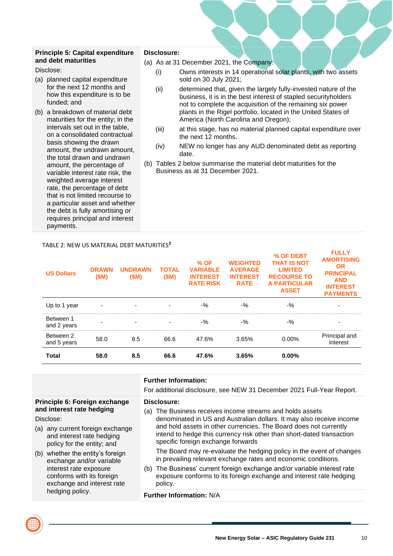#### **Principle 5: Capital expenditure and debt maturities**

Disclose:

- (a) planned capital expenditure for the next 12 months and how this expenditure is to be funded; and
- (b) a breakdown of material debt maturities for the entity; in the intervals set out in the table, on a consolidated contractual basis showing the drawn amount, the undrawn amount, the total drawn and undrawn amount, the percentage of variable interest rate risk, the weighted average interest rate, the percentage of debt that is not limited recourse to a particular asset and whether the debt is fully amortising or requires principal and interest payments.

#### **Disclosure:**

- (a) As at 31 December 2021, the Company:
	- (i) Owns interests in 14 operational solar plants, with two assets sold on 30 July 2021;
	- (ii) determined that, given the largely fully-invested nature of the business, it is in the best interest of stapled securityholders not to complete the acquisition of the remaining six power plants in the Rigel portfolio, located in the United States of America (North Carolina and Oregon);
	- (iii) at this stage, has no material planned capital expenditure over the next 12 months.
	- (iv) NEW no longer has any AUD denominated debt as reporting date.
- (b) Tables 2 below summarise the material debt maturities for the Business as at 31 December 2021.

| <b>US Dollars</b>        | <b>DRAWN</b><br>(SM) | <b>UNDRAWN</b><br>(SM) | <b>TOTAL</b><br>(SM) | $%$ OF<br><b>VARIABLE</b><br><b>INTEREST</b><br><b>RATE RISK</b> | <b>WEIGHTED</b><br><b>AVERAGE</b><br><b>INTEREST</b><br><b>RATE</b> | % OF DEBT<br><b>THAT IS NOT</b><br><b>LIMITED</b><br><b>RECOURSE TO</b><br><b>A PARTICULAR</b><br><b>ASSET</b> | <b>FULLY</b><br><b>AMORTISING</b><br><b>OR</b><br><b>PRINCIPAL</b><br><b>AND</b><br><b>INTEREST</b><br><b>PAYMENTS</b> |
|--------------------------|----------------------|------------------------|----------------------|------------------------------------------------------------------|---------------------------------------------------------------------|----------------------------------------------------------------------------------------------------------------|------------------------------------------------------------------------------------------------------------------------|
| Up to 1 year             |                      |                        |                      | $-9/2$                                                           | $-9/2$                                                              | $-9/2$                                                                                                         | $\blacksquare$                                                                                                         |
| Between 1<br>and 2 years |                      |                        |                      | $-$ %                                                            | $-$ %                                                               | $-$ %                                                                                                          | -                                                                                                                      |
| Between 2<br>and 5 years | 58.0                 | 8.5                    | 66.6                 | 47.6%                                                            | 3.65%                                                               | $0.00\%$                                                                                                       | Principal and<br>interest                                                                                              |
| <b>Total</b>             | 58.0                 | 8.5                    | 66.6                 | 47.6%                                                            | 3.65%                                                               | $0.00\%$                                                                                                       |                                                                                                                        |

|                                                                                                                                                                                                                                                                                                                                                | <b>Further Information:</b><br>For additional disclosure, see NEW 31 December 2021 Full-Year Report.                                                                                                                                                                                                                                                                                                                                                                                                                                                                                                                                                                                  |
|------------------------------------------------------------------------------------------------------------------------------------------------------------------------------------------------------------------------------------------------------------------------------------------------------------------------------------------------|---------------------------------------------------------------------------------------------------------------------------------------------------------------------------------------------------------------------------------------------------------------------------------------------------------------------------------------------------------------------------------------------------------------------------------------------------------------------------------------------------------------------------------------------------------------------------------------------------------------------------------------------------------------------------------------|
| Principle 6: Foreign exchange<br>and interest rate hedging<br>Disclose:<br>(a) any current foreign exchange<br>and interest rate hedging<br>policy for the entity; and<br>(b) whether the entity's foreign<br>exchange and/or variable<br>interest rate exposure<br>conforms with its foreign<br>exchange and interest rate<br>hedging policy. | Disclosure:<br>The Business receives income streams and holds assets<br>(a)<br>denominated in US and Australian dollars. It may also receive income<br>and hold assets in other currencies. The Board does not currently<br>intend to hedge this currency risk other than short-dated transaction<br>specific foreign exchange forwards<br>The Board may re-evaluate the hedging policy in the event of changes<br>in prevailing relevant exchange rates and economic conditions.<br>The Business' current foreign exchange and/or variable interest rate<br>(b)<br>exposure conforms to its foreign exchange and interest rate hedging<br>policy.<br><b>Further Information: N/A</b> |
|                                                                                                                                                                                                                                                                                                                                                |                                                                                                                                                                                                                                                                                                                                                                                                                                                                                                                                                                                                                                                                                       |

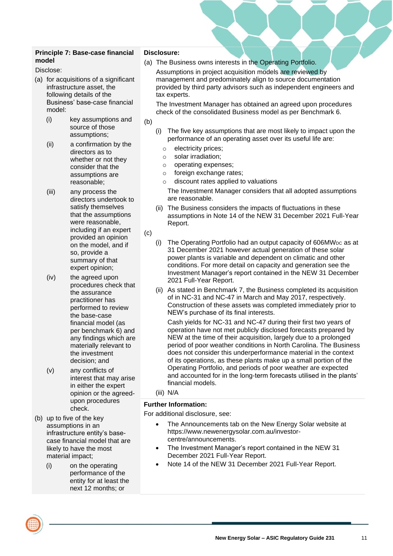#### **Principle 7: Base-case financial model**

Disclose:

- (a) for acquisitions of a significant infrastructure asset, the following details of the Business' base-case financial model:
	- (i) key assumptions and source of those assumptions;
	- (ii) a confirmation by the directors as to whether or not they consider that the assumptions are reasonable;
	- (iii) any process the directors undertook to satisfy themselves that the assumptions were reasonable, including if an expert provided an opinion on the model, and if so, provide a summary of that expert opinion;
	- (iv) the agreed upon procedures check that the assurance practitioner has performed to review the base-case financial model (as per benchmark 6) and any findings which are materially relevant to the investment decision; and
	- (v) any conflicts of interest that may arise in either the expert opinion or the agreedupon procedures check.
- (b) up to five of the key assumptions in an infrastructure entity's basecase financial model that are likely to have the most material impact;
	- (i) on the operating performance of the entity for at least the next 12 months; or

#### **Disclosure:**

(a) The Business owns interests in the Operating Portfolio. Assumptions in project acquisition models are reviewed by management and predominately align to source documentation provided by third party advisors such as independent engineers and tax experts.

The Investment Manager has obtained an agreed upon procedures check of the consolidated Business model as per Benchmark 6.

#### (b)

- (i) The five key assumptions that are most likely to impact upon the performance of an operating asset over its useful life are:
	- o electricity prices;
	- o solar irradiation;
	- o operating expenses;
	- o foreign exchange rates;
	- discount rates applied to valuations

The Investment Manager considers that all adopted assumptions are reasonable.

- (ii) The Business considers the impacts of fluctuations in these assumptions in Note 14 of the NEW 31 December 2021 Full-Year Report.
- (c)
	- (i) The Operating Portfolio had an output capacity of  $606MW<sub>DC</sub>$  as at 31 December 2021 however actual generation of these solar power plants is variable and dependent on climatic and other conditions. For more detail on capacity and generation see the Investment Manager's report contained in the NEW 31 December 2021 Full-Year Report.
	- (ii) As stated in Benchmark 7, the Business completed its acquisition of in NC-31 and NC-47 in March and May 2017, respectively. Construction of these assets was completed immediately prior to NEW's purchase of its final interests.

Cash yields for NC-31 and NC-47 during their first two years of operation have not met publicly disclosed forecasts prepared by NEW at the time of their acquisition, largely due to a prolonged period of poor weather conditions in North Carolina. The Business does not consider this underperformance material in the context of its operations, as these plants make up a small portion of the Operating Portfolio, and periods of poor weather are expected and accounted for in the long-term forecasts utilised in the plants' financial models.

#### (iii) N/A

#### **Further Information:**

For additional disclosure, see:

- The Announcements tab on the New Energy Solar website at https://www.newenergysolar.com.au/investorcentre/announcements.
- The Investment Manager's report contained in the NEW 31 December 2021 Full-Year Report.
- Note 14 of the NEW 31 December 2021 Full-Year Report.

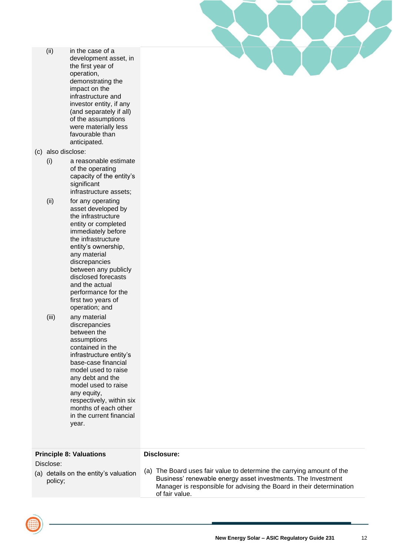| (ii) | in the case of a        |
|------|-------------------------|
|      | development asset, in   |
|      | the first year of       |
|      | operation,              |
|      | demonstrating the       |
|      | impact on the           |
|      | infrastructure and      |
|      | investor entity, if any |
|      | (and separately if all) |
|      | of the assumptions      |
|      | were materially less    |
|      | favourable than         |
|      | anticipated.            |
|      |                         |

(c) also disclose:

- (i) a reasonable estimate of the operating capacity of the entity's significant infrastructure assets;
- (ii) for any operating asset developed by the infrastructure entity or completed immediately before the infrastructure entity's ownership, any material discrepancies between any publicly disclosed forecasts and the actual performance for the first two years of operation; and
- (iii) any material discrepancies between the assumptions contained in the infrastructure entity's base-case financial model used to raise any debt and the model used to raise any equity, respectively, within six months of each other in the current financial year.

| <b>Principle 8: Valuations</b>                                | Disclosure:                                                                                                                                                                                                                     |
|---------------------------------------------------------------|---------------------------------------------------------------------------------------------------------------------------------------------------------------------------------------------------------------------------------|
| Disclose:<br>(a) details on the entity's valuation<br>policy; | (a) The Board uses fair value to determine the carrying amount of the<br>Business' renewable energy asset investments. The Investment<br>Manager is responsible for advising the Board in their determination<br>of fair value. |

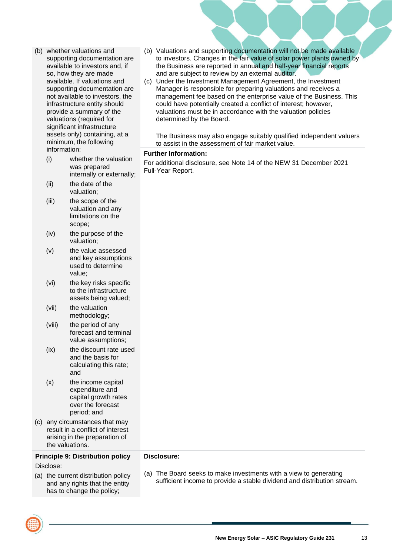- (b) whether valuations and supporting documentation are available to investors and, if so, how they are made available. If valuations and supporting documentation are not available to investors, the infrastructure entity should provide a summary of the valuations (required for significant infrastructure assets only) containing, at a minimum, the following information:
	- (i) whether the valuation was prepared internally or externally;
	- (ii) the date of the valuation;
	- (iii) the scope of the valuation and any limitations on the scope;
	- (iv) the purpose of the valuation;
	- (v) the value assessed and key assumptions used to determine value;
	- (vi) the key risks specific to the infrastructure assets being valued;
	- (vii) the valuation methodology;
	- (viii) the period of any forecast and terminal value assumptions;
	- (ix) the discount rate used and the basis for calculating this rate; and
	- (x) the income capital expenditure and capital growth rates over the forecast period; and
- (c) any circumstances that may result in a conflict of interest arising in the preparation of the valuations.

#### **Principle 9: Distribution policy**

Disclose:

could have potentially created a conflict of interest; however, valuations must be in accordance with the valuation policies determined by the Board.

and are subject to review by an external auditor.

The Business may also engage suitably qualified independent valuers to assist in the assessment of fair market value.

(b) Valuations and supporting documentation will not be made available to investors. Changes in the fair value of solar power plants owned by the Business are reported in annual and half-year financial reports

(c) Under the Investment Management Agreement, the Investment Manager is responsible for preparing valuations and receives a management fee based on the enterprise value of the Business. This

#### **Further Information:**

For additional disclosure, see Note 14 of the NEW 31 December 2021 Full-Year Report.

| (a) the current distribution policy |
|-------------------------------------|
| and any rights that the entity      |
| has to change the policy;           |

- **Disclosure:**
- (a) The Board seeks to make investments with a view to generating sufficient income to provide a stable dividend and distribution stream.